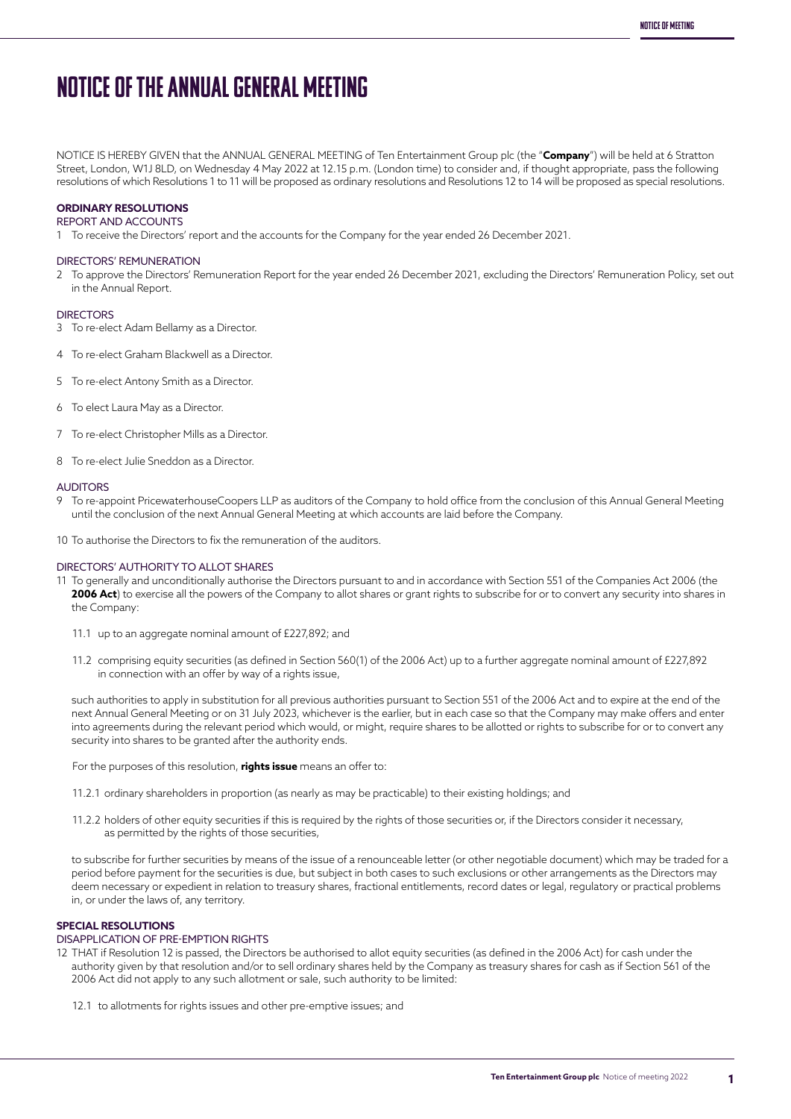# NOTICE OF THE ANNUAL GENERAL MEETING

NOTICE IS HEREBY GIVEN that the ANNUAL GENERAL MEETING of Ten Entertainment Group plc (the "**Company**") will be held at 6 Stratton Street, London, W1J 8LD, on Wednesday 4 May 2022 at 12.15 p.m. (London time) to consider and, if thought appropriate, pass the following resolutions of which Resolutions 1 to 11 will be proposed as ordinary resolutions and Resolutions 12 to 14 will be proposed as special resolutions.

## **ORDINARY RESOLUTIONS**

REPORT AND ACCOUNTS

1 To receive the Directors' report and the accounts for the Company for the year ended 26 December 2021.

#### DIRECTORS' REMUNERATION

2 To approve the Directors' Remuneration Report for the year ended 26 December 2021, excluding the Directors' Remuneration Policy, set out in the Annual Report.

#### **DIRECTORS**

- 3 To re-elect Adam Bellamy as a Director.
- 4 To re-elect Graham Blackwell as a Director.
- 5 To re-elect Antony Smith as a Director.
- 6 To elect Laura May as a Director.
- 7 To re-elect Christopher Mills as a Director.
- 8 To re-elect Julie Sneddon as a Director.

#### AUDITORS

- 9 To re-appoint PricewaterhouseCoopers LLP as auditors of the Company to hold office from the conclusion of this Annual General Meeting until the conclusion of the next Annual General Meeting at which accounts are laid before the Company.
- 10 To authorise the Directors to fix the remuneration of the auditors.

#### DIRECTORS' AUTHORITY TO ALLOT SHARES

- 11 To generally and unconditionally authorise the Directors pursuant to and in accordance with Section 551 of the Companies Act 2006 (the 2006 Act) to exercise all the powers of the Company to allot shares or grant rights to subscribe for or to convert any security into shares in the Company:
	- 11.1 up to an aggregate nominal amount of £227,892; and
	- 11.2 comprising equity securities (as defined in Section 560(1) of the 2006 Act) up to a further aggregate nominal amount of £227,892 in connection with an offer by way of a rights issue,

 such authorities to apply in substitution for all previous authorities pursuant to Section 551 of the 2006 Act and to expire at the end of the next Annual General Meeting or on 31 July 2023, whichever is the earlier, but in each case so that the Company may make offers and enter into agreements during the relevant period which would, or might, require shares to be allotted or rights to subscribe for or to convert any security into shares to be granted after the authority ends.

For the purposes of this resolution, **rights issue** means an offer to:

- 11.2.1 ordinary shareholders in proportion (as nearly as may be practicable) to their existing holdings; and
- 11.2.2 holders of other equity securities if this is required by the rights of those securities or, if the Directors consider it necessary, as permitted by the rights of those securities,

to subscribe for further securities by means of the issue of a renounceable letter (or other negotiable document) which may be traded for a period before payment for the securities is due, but subject in both cases to such exclusions or other arrangements as the Directors may deem necessary or expedient in relation to treasury shares, fractional entitlements, record dates or legal, regulatory or practical problems in, or under the laws of, any territory.

#### **SPECIAL RESOLUTIONS**

### DISAPPLICATION OF PRE-EMPTION RIGHTS

- 12 THAT if Resolution 12 is passed, the Directors be authorised to allot equity securities (as defined in the 2006 Act) for cash under the authority given by that resolution and/or to sell ordinary shares held by the Company as treasury shares for cash as if Section 561 of the 2006 Act did not apply to any such allotment or sale, such authority to be limited:
	- 12.1 to allotments for rights issues and other pre-emptive issues; and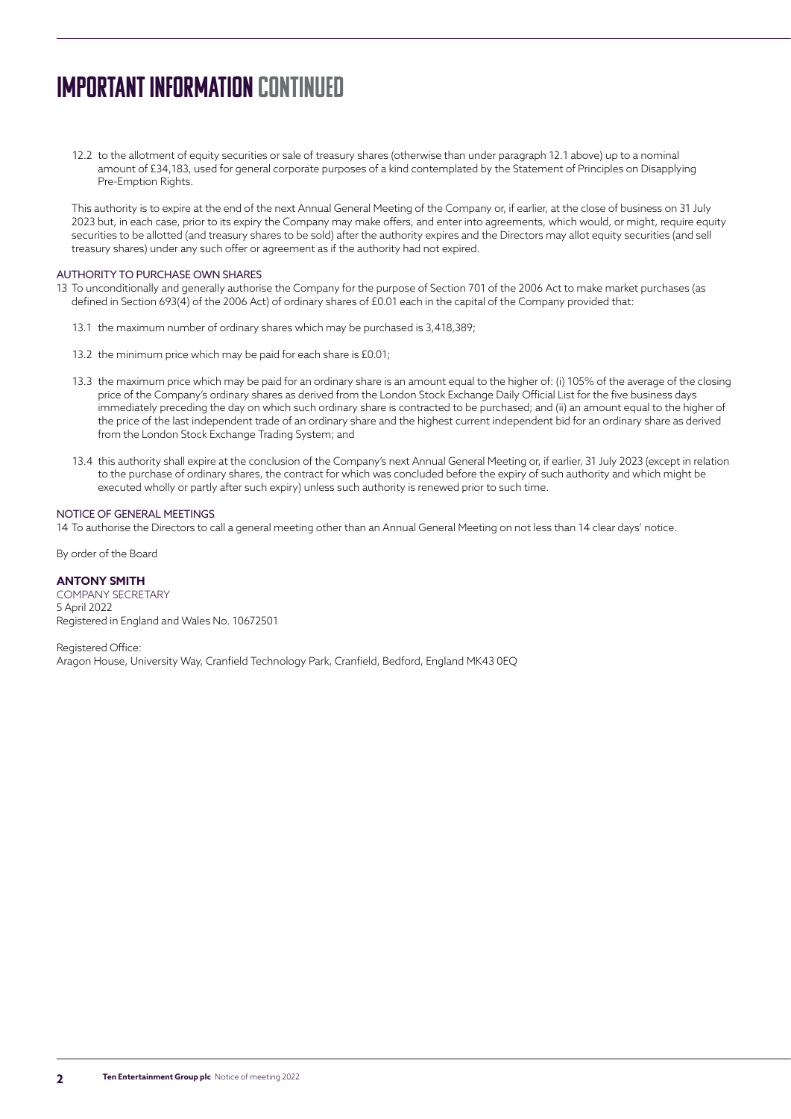# IMPORTANT INFORMATION continued

12.2 to the allotment of equity securities or sale of treasury shares (otherwise than under paragraph 12.1 above) up to a nominal amount of £34,183, used for general corporate purposes of a kind contemplated by the Statement of Principles on Disapplying Pre-Emption Rights.

This authority is to expire at the end of the next Annual General Meeting of the Company or, if earlier, at the close of business on 31 July 2023 but, in each case, prior to its expiry the Company may make offers, and enter into agreements, which would, or might, require equity securities to be allotted (and treasury shares to be sold) after the authority expires and the Directors may allot equity securities (and sell treasury shares) under any such offer or agreement as if the authority had not expired.

## AUTHORITY TO PURCHASE OWN SHARES

- 13 To unconditionally and generally authorise the Company for the purpose of Section 701 of the 2006 Act to make market purchases (as defined in Section 693(4) of the 2006 Act) of ordinary shares of £0.01 each in the capital of the Company provided that:
	- 13.1 the maximum number of ordinary shares which may be purchased is 3,418,389;
	- 13.2 the minimum price which may be paid for each share is £0.01;
	- 13.3 the maximum price which may be paid for an ordinary share is an amount equal to the higher of: (i) 105% of the average of the closing price of the Company's ordinary shares as derived from the London Stock Exchange Daily Official List for the five business days immediately preceding the day on which such ordinary share is contracted to be purchased; and (ii) an amount equal to the higher of the price of the last independent trade of an ordinary share and the highest current independent bid for an ordinary share as derived from the London Stock Exchange Trading System; and
	- 13.4 this authority shall expire at the conclusion of the Company's next Annual General Meeting or, if earlier, 31 July 2023 (except in relation to the purchase of ordinary shares, the contract for which was concluded before the expiry of such authority and which might be executed wholly or partly after such expiry) unless such authority is renewed prior to such time.

### NOTICE OF GENERAL MEETINGS

14 To authorise the Directors to call a general meeting other than an Annual General Meeting on not less than 14 clear days' notice.

#### By order of the Board

### **ANTONY SMITH**

COMPANY SECRETARY 5 April 2022 Registered in England and Wales No. 10672501

Registered Office: Aragon House, University Way, Cranfield Technology Park, Cranfield, Bedford, England MK43 0EQ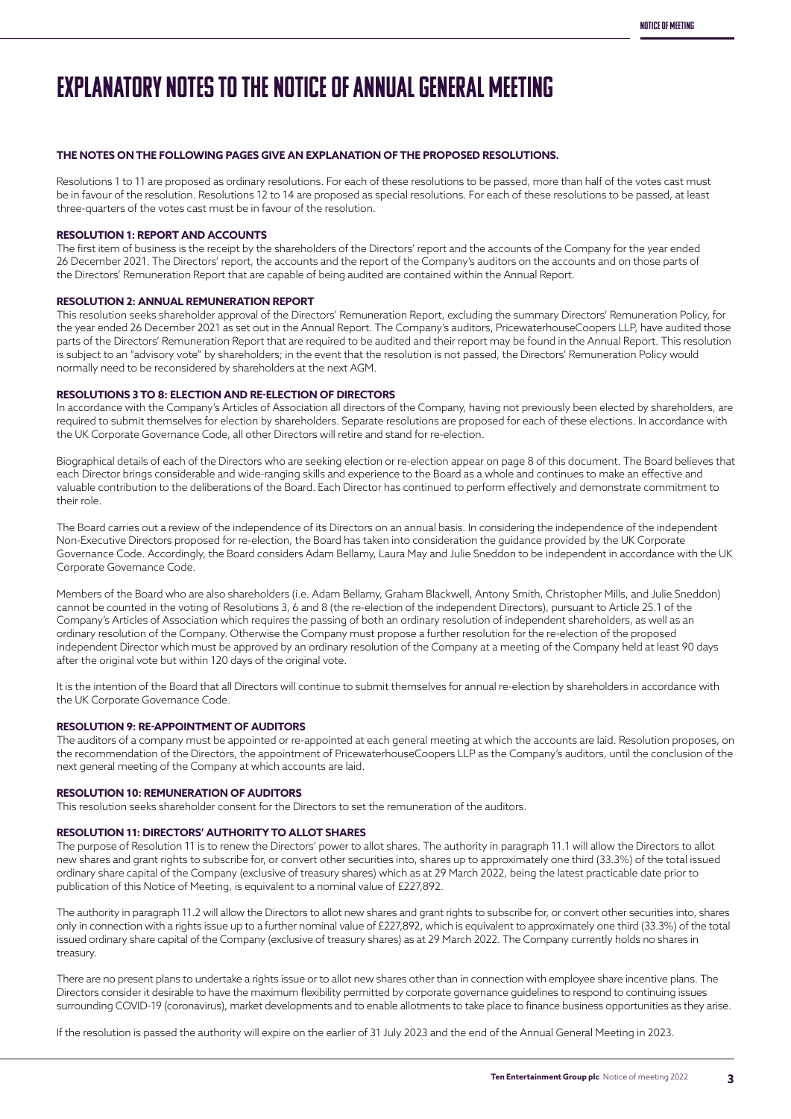# EXPLANATORY NOTES TO THE NOTICE OF ANNUAL GENERAL MEETING

## **THE NOTES ON THE FOLLOWING PAGES GIVE AN EXPLANATION OF THE PROPOSED RESOLUTIONS.**

Resolutions 1 to 11 are proposed as ordinary resolutions. For each of these resolutions to be passed, more than half of the votes cast must be in favour of the resolution. Resolutions 12 to 14 are proposed as special resolutions. For each of these resolutions to be passed, at least three-quarters of the votes cast must be in favour of the resolution.

### **RESOLUTION 1: REPORT AND ACCOUNTS**

The first item of business is the receipt by the shareholders of the Directors' report and the accounts of the Company for the year ended 26 December 2021. The Directors' report, the accounts and the report of the Company's auditors on the accounts and on those parts of the Directors' Remuneration Report that are capable of being audited are contained within the Annual Report.

### **RESOLUTION 2: ANNUAL REMUNERATION REPORT**

This resolution seeks shareholder approval of the Directors' Remuneration Report, excluding the summary Directors' Remuneration Policy, for the year ended 26 December 2021 as set out in the Annual Report. The Company's auditors, PricewaterhouseCoopers LLP, have audited those parts of the Directors' Remuneration Report that are required to be audited and their report may be found in the Annual Report. This resolution is subject to an "advisory vote" by shareholders; in the event that the resolution is not passed, the Directors' Remuneration Policy would normally need to be reconsidered by shareholders at the next AGM.

### **RESOLUTIONS 3 TO 8: ELECTION AND RE-ELECTION OF DIRECTORS**

In accordance with the Company's Articles of Association all directors of the Company, having not previously been elected by shareholders, are required to submit themselves for election by shareholders. Separate resolutions are proposed for each of these elections. In accordance with the UK Corporate Governance Code, all other Directors will retire and stand for re-election.

Biographical details of each of the Directors who are seeking election or re-election appear on page 8 of this document. The Board believes that each Director brings considerable and wide-ranging skills and experience to the Board as a whole and continues to make an effective and valuable contribution to the deliberations of the Board. Each Director has continued to perform effectively and demonstrate commitment to their role.

The Board carries out a review of the independence of its Directors on an annual basis. In considering the independence of the independent Non-Executive Directors proposed for re-election, the Board has taken into consideration the guidance provided by the UK Corporate Governance Code. Accordingly, the Board considers Adam Bellamy, Laura May and Julie Sneddon to be independent in accordance with the UK Corporate Governance Code.

Members of the Board who are also shareholders (i.e. Adam Bellamy, Graham Blackwell, Antony Smith, Christopher Mills, and Julie Sneddon) cannot be counted in the voting of Resolutions 3, 6 and 8 (the re-election of the independent Directors), pursuant to Article 25.1 of the Company's Articles of Association which requires the passing of both an ordinary resolution of independent shareholders, as well as an ordinary resolution of the Company. Otherwise the Company must propose a further resolution for the re-election of the proposed independent Director which must be approved by an ordinary resolution of the Company at a meeting of the Company held at least 90 days after the original vote but within 120 days of the original vote.

It is the intention of the Board that all Directors will continue to submit themselves for annual re-election by shareholders in accordance with the UK Corporate Governance Code.

### **RESOLUTION 9: RE-APPOINTMENT OF AUDITORS**

The auditors of a company must be appointed or re-appointed at each general meeting at which the accounts are laid. Resolution proposes, on the recommendation of the Directors, the appointment of PricewaterhouseCoopers LLP as the Company's auditors, until the conclusion of the next general meeting of the Company at which accounts are laid.

### **RESOLUTION 10: REMUNERATION OF AUDITORS**

This resolution seeks shareholder consent for the Directors to set the remuneration of the auditors.

### **RESOLUTION 11: DIRECTORS' AUTHORITY TO ALLOT SHARES**

The purpose of Resolution 11 is to renew the Directors' power to allot shares. The authority in paragraph 11.1 will allow the Directors to allot new shares and grant rights to subscribe for, or convert other securities into, shares up to approximately one third (33.3%) of the total issued ordinary share capital of the Company (exclusive of treasury shares) which as at 29 March 2022, being the latest practicable date prior to publication of this Notice of Meeting, is equivalent to a nominal value of £227,892.

The authority in paragraph 11.2 will allow the Directors to allot new shares and grant rights to subscribe for, or convert other securities into, shares only in connection with a rights issue up to a further nominal value of £227,892, which is equivalent to approximately one third (33.3%) of the total issued ordinary share capital of the Company (exclusive of treasury shares) as at 29 March 2022. The Company currently holds no shares in treasury.

There are no present plans to undertake a rights issue or to allot new shares other than in connection with employee share incentive plans. The Directors consider it desirable to have the maximum flexibility permitted by corporate governance guidelines to respond to continuing issues surrounding COVID-19 (coronavirus), market developments and to enable allotments to take place to finance business opportunities as they arise.

If the resolution is passed the authority will expire on the earlier of 31 July 2023 and the end of the Annual General Meeting in 2023.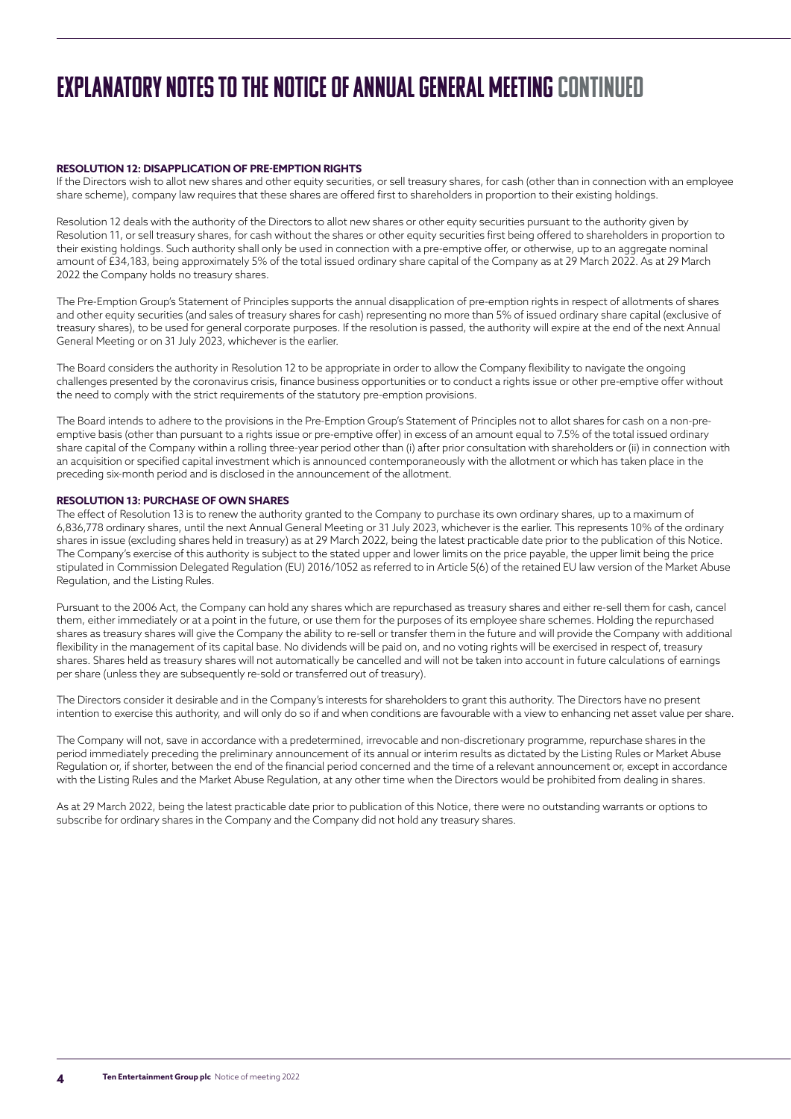# EXPLANATORY NOTES TO THE NOTICE OF ANNUAL GENERAL MEETING continued

## **RESOLUTION 12: DISAPPLICATION OF PRE-EMPTION RIGHTS**

If the Directors wish to allot new shares and other equity securities, or sell treasury shares, for cash (other than in connection with an employee share scheme), company law requires that these shares are offered first to shareholders in proportion to their existing holdings.

Resolution 12 deals with the authority of the Directors to allot new shares or other equity securities pursuant to the authority given by Resolution 11, or sell treasury shares, for cash without the shares or other equity securities first being offered to shareholders in proportion to their existing holdings. Such authority shall only be used in connection with a pre-emptive offer, or otherwise, up to an aggregate nominal amount of £34,183, being approximately 5% of the total issued ordinary share capital of the Company as at 29 March 2022. As at 29 March 2022 the Company holds no treasury shares.

The Pre-Emption Group's Statement of Principles supports the annual disapplication of pre-emption rights in respect of allotments of shares and other equity securities (and sales of treasury shares for cash) representing no more than 5% of issued ordinary share capital (exclusive of treasury shares), to be used for general corporate purposes. If the resolution is passed, the authority will expire at the end of the next Annual General Meeting or on 31 July 2023, whichever is the earlier.

The Board considers the authority in Resolution 12 to be appropriate in order to allow the Company flexibility to navigate the ongoing challenges presented by the coronavirus crisis, finance business opportunities or to conduct a rights issue or other pre-emptive offer without the need to comply with the strict requirements of the statutory pre-emption provisions.

The Board intends to adhere to the provisions in the Pre-Emption Group's Statement of Principles not to allot shares for cash on a non-preemptive basis (other than pursuant to a rights issue or pre-emptive offer) in excess of an amount equal to 7.5% of the total issued ordinary share capital of the Company within a rolling three-year period other than (i) after prior consultation with shareholders or (ii) in connection with an acquisition or specified capital investment which is announced contemporaneously with the allotment or which has taken place in the preceding six-month period and is disclosed in the announcement of the allotment.

## **RESOLUTION 13: PURCHASE OF OWN SHARES**

The effect of Resolution 13 is to renew the authority granted to the Company to purchase its own ordinary shares, up to a maximum of 6,836,778 ordinary shares, until the next Annual General Meeting or 31 July 2023, whichever is the earlier. This represents 10% of the ordinary shares in issue (excluding shares held in treasury) as at 29 March 2022, being the latest practicable date prior to the publication of this Notice. The Company's exercise of this authority is subject to the stated upper and lower limits on the price payable, the upper limit being the price stipulated in Commission Delegated Regulation (EU) 2016/1052 as referred to in Article 5(6) of the retained EU law version of the Market Abuse Regulation, and the Listing Rules.

Pursuant to the 2006 Act, the Company can hold any shares which are repurchased as treasury shares and either re-sell them for cash, cancel them, either immediately or at a point in the future, or use them for the purposes of its employee share schemes. Holding the repurchased shares as treasury shares will give the Company the ability to re-sell or transfer them in the future and will provide the Company with additional flexibility in the management of its capital base. No dividends will be paid on, and no voting rights will be exercised in respect of, treasury shares. Shares held as treasury shares will not automatically be cancelled and will not be taken into account in future calculations of earnings per share (unless they are subsequently re-sold or transferred out of treasury).

The Directors consider it desirable and in the Company's interests for shareholders to grant this authority. The Directors have no present intention to exercise this authority, and will only do so if and when conditions are favourable with a view to enhancing net asset value per share.

The Company will not, save in accordance with a predetermined, irrevocable and non-discretionary programme, repurchase shares in the period immediately preceding the preliminary announcement of its annual or interim results as dictated by the Listing Rules or Market Abuse Regulation or, if shorter, between the end of the financial period concerned and the time of a relevant announcement or, except in accordance with the Listing Rules and the Market Abuse Regulation, at any other time when the Directors would be prohibited from dealing in shares.

As at 29 March 2022, being the latest practicable date prior to publication of this Notice, there were no outstanding warrants or options to subscribe for ordinary shares in the Company and the Company did not hold any treasury shares.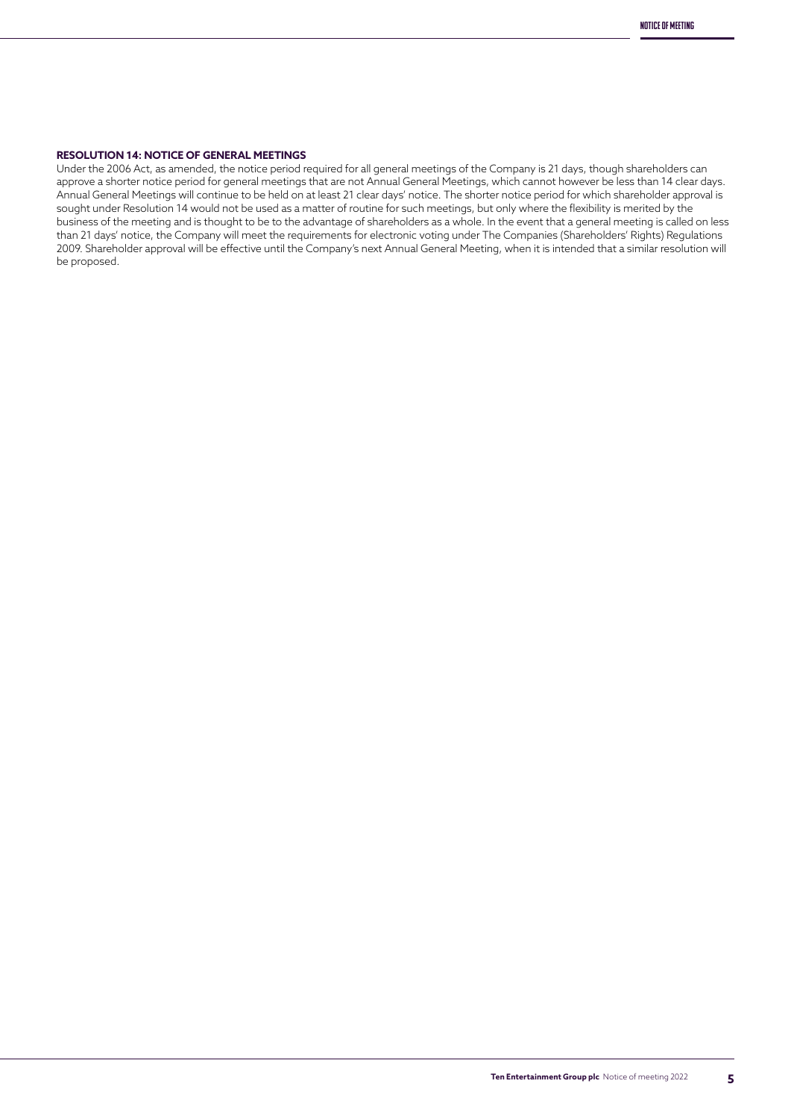## **RESOLUTION 14: NOTICE OF GENERAL MEETINGS**

Under the 2006 Act, as amended, the notice period required for all general meetings of the Company is 21 days, though shareholders can approve a shorter notice period for general meetings that are not Annual General Meetings, which cannot however be less than 14 clear days. Annual General Meetings will continue to be held on at least 21 clear days' notice. The shorter notice period for which shareholder approval is sought under Resolution 14 would not be used as a matter of routine for such meetings, but only where the flexibility is merited by the business of the meeting and is thought to be to the advantage of shareholders as a whole. In the event that a general meeting is called on less than 21 days' notice, the Company will meet the requirements for electronic voting under The Companies (Shareholders' Rights) Regulations 2009. Shareholder approval will be effective until the Company's next Annual General Meeting, when it is intended that a similar resolution will be proposed.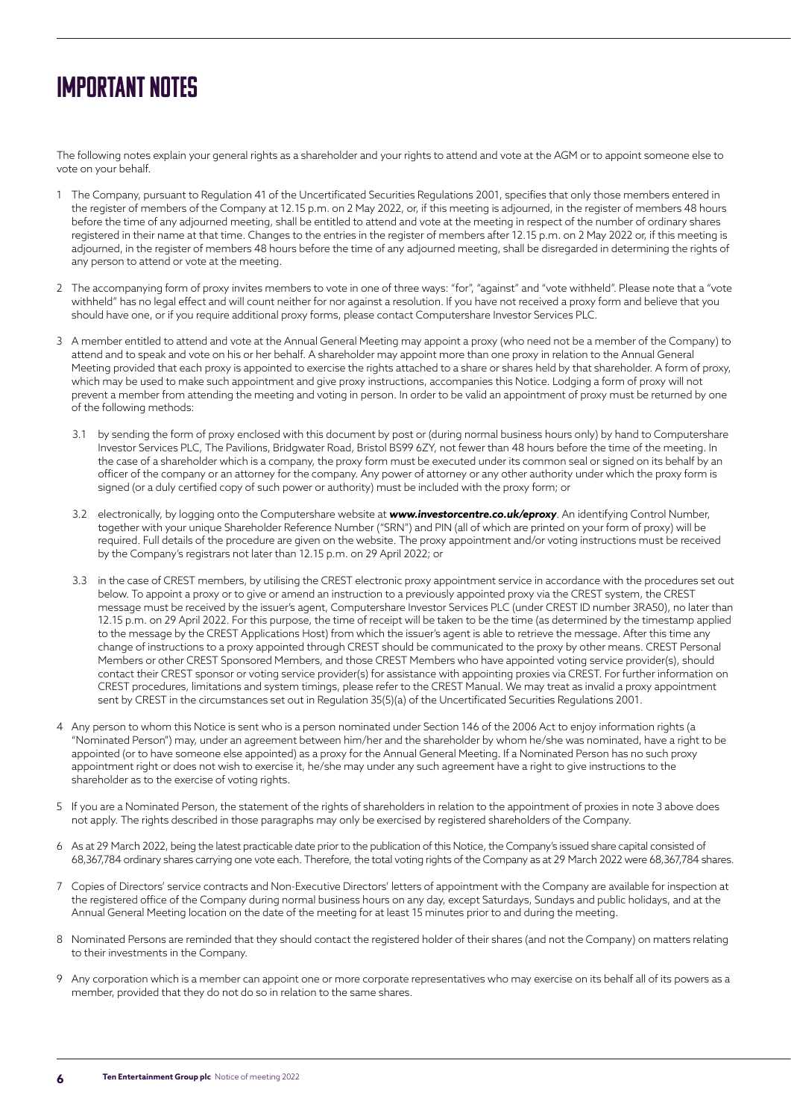# Important Notes

The following notes explain your general rights as a shareholder and your rights to attend and vote at the AGM or to appoint someone else to vote on your behalf.

- 1 The Company, pursuant to Regulation 41 of the Uncertificated Securities Regulations 2001, specifies that only those members entered in the register of members of the Company at 12.15 p.m. on 2 May 2022, or, if this meeting is adjourned, in the register of members 48 hours before the time of any adjourned meeting, shall be entitled to attend and vote at the meeting in respect of the number of ordinary shares registered in their name at that time. Changes to the entries in the register of members after 12.15 p.m. on 2 May 2022 or, if this meeting is adjourned, in the register of members 48 hours before the time of any adjourned meeting, shall be disregarded in determining the rights of any person to attend or vote at the meeting.
- 2 The accompanying form of proxy invites members to vote in one of three ways: "for", "against" and "vote withheld". Please note that a "vote withheld" has no legal effect and will count neither for nor against a resolution. If you have not received a proxy form and believe that you should have one, or if you require additional proxy forms, please contact Computershare Investor Services PLC.
- 3 A member entitled to attend and vote at the Annual General Meeting may appoint a proxy (who need not be a member of the Company) to attend and to speak and vote on his or her behalf. A shareholder may appoint more than one proxy in relation to the Annual General Meeting provided that each proxy is appointed to exercise the rights attached to a share or shares held by that shareholder. A form of proxy, which may be used to make such appointment and give proxy instructions, accompanies this Notice. Lodging a form of proxy will not prevent a member from attending the meeting and voting in person. In order to be valid an appointment of proxy must be returned by one of the following methods:
	- 3.1 by sending the form of proxy enclosed with this document by post or (during normal business hours only) by hand to Computershare Investor Services PLC, The Pavilions, Bridgwater Road, Bristol BS99 6ZY, not fewer than 48 hours before the time of the meeting. In the case of a shareholder which is a company, the proxy form must be executed under its common seal or signed on its behalf by an officer of the company or an attorney for the company. Any power of attorney or any other authority under which the proxy form is signed (or a duly certified copy of such power or authority) must be included with the proxy form; or
	- 3.2 electronically, by logging onto the Computershare website at **www.investorcentre.co.uk/eproxy**. An identifying Control Number, together with your unique Shareholder Reference Number ("SRN") and PIN (all of which are printed on your form of proxy) will be required. Full details of the procedure are given on the website. The proxy appointment and/or voting instructions must be received by the Company's registrars not later than 12.15 p.m. on 29 April 2022; or
	- 3.3 in the case of CREST members, by utilising the CREST electronic proxy appointment service in accordance with the procedures set out below. To appoint a proxy or to give or amend an instruction to a previously appointed proxy via the CREST system, the CREST message must be received by the issuer's agent, Computershare Investor Services PLC (under CREST ID number 3RA50), no later than 12.15 p.m. on 29 April 2022. For this purpose, the time of receipt will be taken to be the time (as determined by the timestamp applied to the message by the CREST Applications Host) from which the issuer's agent is able to retrieve the message. After this time any change of instructions to a proxy appointed through CREST should be communicated to the proxy by other means. CREST Personal Members or other CREST Sponsored Members, and those CREST Members who have appointed voting service provider(s), should contact their CREST sponsor or voting service provider(s) for assistance with appointing proxies via CREST. For further information on CREST procedures, limitations and system timings, please refer to the CREST Manual. We may treat as invalid a proxy appointment sent by CREST in the circumstances set out in Regulation 35(5)(a) of the Uncertificated Securities Regulations 2001.
- 4 Any person to whom this Notice is sent who is a person nominated under Section 146 of the 2006 Act to enjoy information rights (a "Nominated Person") may, under an agreement between him/her and the shareholder by whom he/she was nominated, have a right to be appointed (or to have someone else appointed) as a proxy for the Annual General Meeting. If a Nominated Person has no such proxy appointment right or does not wish to exercise it, he/she may under any such agreement have a right to give instructions to the shareholder as to the exercise of voting rights.
- 5 If you are a Nominated Person, the statement of the rights of shareholders in relation to the appointment of proxies in note 3 above does not apply. The rights described in those paragraphs may only be exercised by registered shareholders of the Company.
- 6 As at 29 March 2022, being the latest practicable date prior to the publication of this Notice, the Company's issued share capital consisted of 68,367,784 ordinary shares carrying one vote each. Therefore, the total voting rights of the Company as at 29 March 2022 were 68,367,784 shares.
- 7 Copies of Directors' service contracts and Non-Executive Directors' letters of appointment with the Company are available for inspection at the registered office of the Company during normal business hours on any day, except Saturdays, Sundays and public holidays, and at the Annual General Meeting location on the date of the meeting for at least 15 minutes prior to and during the meeting.
- 8 Nominated Persons are reminded that they should contact the registered holder of their shares (and not the Company) on matters relating to their investments in the Company.
- 9 Any corporation which is a member can appoint one or more corporate representatives who may exercise on its behalf all of its powers as a member, provided that they do not do so in relation to the same shares.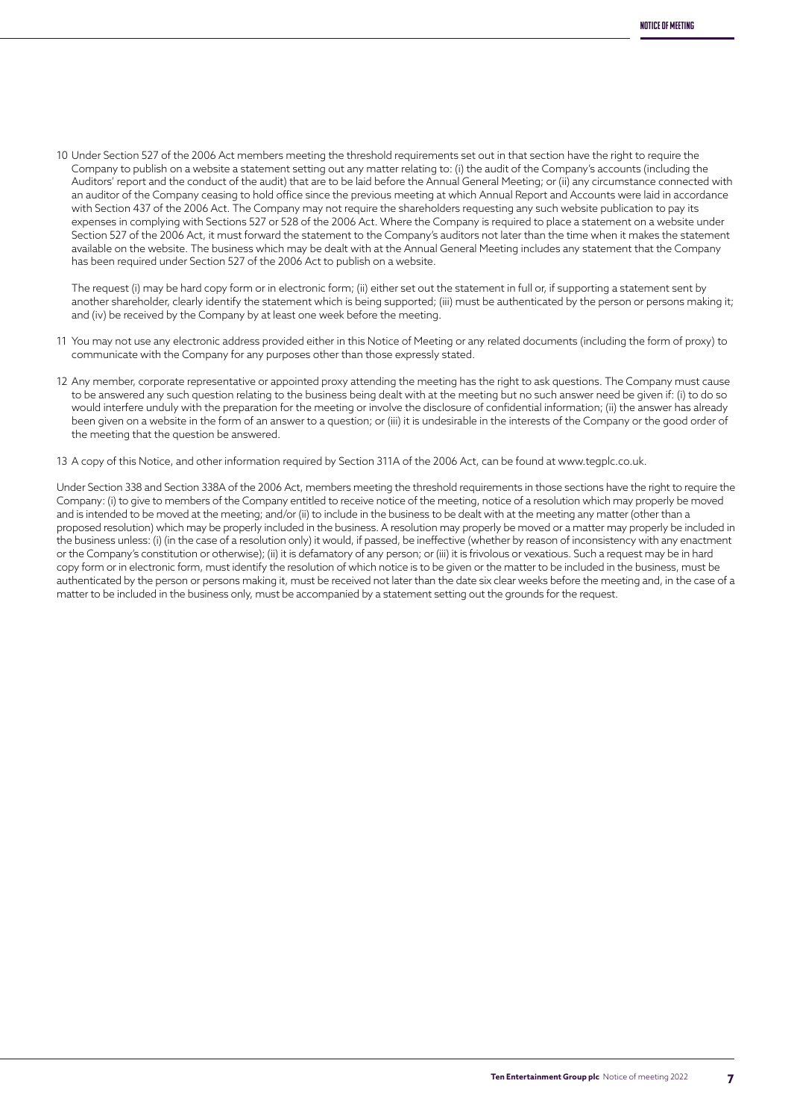10 Under Section 527 of the 2006 Act members meeting the threshold requirements set out in that section have the right to require the Company to publish on a website a statement setting out any matter relating to: (i) the audit of the Company's accounts (including the Auditors' report and the conduct of the audit) that are to be laid before the Annual General Meeting; or (ii) any circumstance connected with an auditor of the Company ceasing to hold office since the previous meeting at which Annual Report and Accounts were laid in accordance with Section 437 of the 2006 Act. The Company may not require the shareholders requesting any such website publication to pay its expenses in complying with Sections 527 or 528 of the 2006 Act. Where the Company is required to place a statement on a website under Section 527 of the 2006 Act, it must forward the statement to the Company's auditors not later than the time when it makes the statement available on the website. The business which may be dealt with at the Annual General Meeting includes any statement that the Company has been required under Section 527 of the 2006 Act to publish on a website.

The request (i) may be hard copy form or in electronic form; (ii) either set out the statement in full or, if supporting a statement sent by another shareholder, clearly identify the statement which is being supported; (iii) must be authenticated by the person or persons making it; and (iv) be received by the Company by at least one week before the meeting.

- 11 You may not use any electronic address provided either in this Notice of Meeting or any related documents (including the form of proxy) to communicate with the Company for any purposes other than those expressly stated.
- 12 Any member, corporate representative or appointed proxy attending the meeting has the right to ask questions. The Company must cause to be answered any such question relating to the business being dealt with at the meeting but no such answer need be given if: (i) to do so would interfere unduly with the preparation for the meeting or involve the disclosure of confidential information; (ii) the answer has already been given on a website in the form of an answer to a question; or (iii) it is undesirable in the interests of the Company or the good order of the meeting that the question be answered.
- 13 A copy of this Notice, and other information required by Section 311A of the 2006 Act, can be found at www.tegplc.co.uk.

Under Section 338 and Section 338A of the 2006 Act, members meeting the threshold requirements in those sections have the right to require the Company: (i) to give to members of the Company entitled to receive notice of the meeting, notice of a resolution which may properly be moved and is intended to be moved at the meeting; and/or (ii) to include in the business to be dealt with at the meeting any matter (other than a proposed resolution) which may be properly included in the business. A resolution may properly be moved or a matter may properly be included in the business unless: (i) (in the case of a resolution only) it would, if passed, be ineffective (whether by reason of inconsistency with any enactment or the Company's constitution or otherwise); (ii) it is defamatory of any person; or (iii) it is frivolous or vexatious. Such a request may be in hard copy form or in electronic form, must identify the resolution of which notice is to be given or the matter to be included in the business, must be authenticated by the person or persons making it, must be received not later than the date six clear weeks before the meeting and, in the case of a matter to be included in the business only, must be accompanied by a statement setting out the grounds for the request.